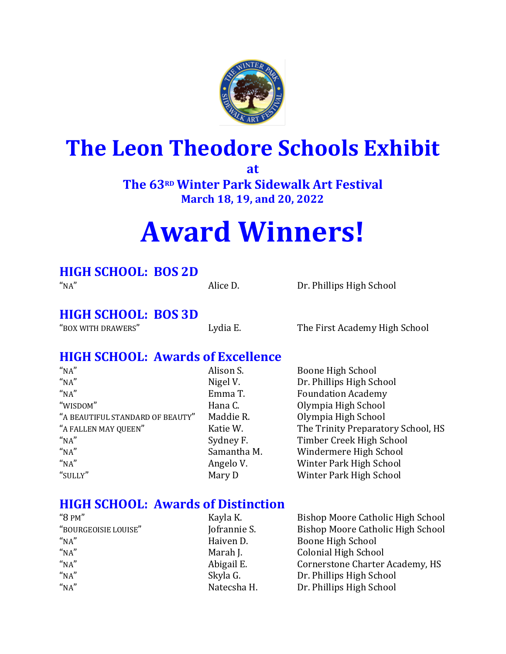

## **The Leon Theodore Schools Exhibit**

**at**

**The 63RD Winter Park Sidewalk Art Festival March 18, 19, and 20, 2022** 

# **Award Winners!**

#### **HIGH SCHOOL: BOS 2D**

"NA" Alice D. Dr. Phillips High School

#### **HIGH SCHOOL: BOS 3D**

"BOX WITH DRAWERS" Lydia E. The First Academy High School

#### **HIGH SCHOOL: Awards of Excellence**

| "NA"                             | Alison S.   | Boone High School                  |
|----------------------------------|-------------|------------------------------------|
| "NA"                             | Nigel V.    | Dr. Phillips High School           |
| "NA"                             | Emma T.     | <b>Foundation Academy</b>          |
| "WISDOM"                         | Hana C.     | Olympia High School                |
| "A BEAUTIFUL STANDARD OF BEAUTY" | Maddie R.   | Olympia High School                |
| "A FALLEN MAY QUEEN"             | Katie W.    | The Trinity Preparatory School, HS |
| "NA"                             | Sydney F.   | Timber Creek High School           |
| "NA"                             | Samantha M. | Windermere High School             |
| "NA"                             | Angelo V.   | Winter Park High School            |
| "SULLY"                          | Mary D      | Winter Park High School            |

#### **HIGH SCHOOL: Awards of Distinction**

| " $8$ PM"            | Kayla K.     | Bishop Moore Catholic High School |
|----------------------|--------------|-----------------------------------|
| "BOURGEOISIE LOUISE" | Jofrannie S. | Bishop Moore Catholic High School |
| "NA"                 | Haiven D.    | Boone High School                 |
| "NA"                 | Marah J.     | <b>Colonial High School</b>       |
| "NA"                 | Abigail E.   | Cornerstone Charter Academy, HS   |
| "NA"                 | Skyla G.     | Dr. Phillips High School          |
| "NA"                 | Natecsha H.  | Dr. Phillips High School          |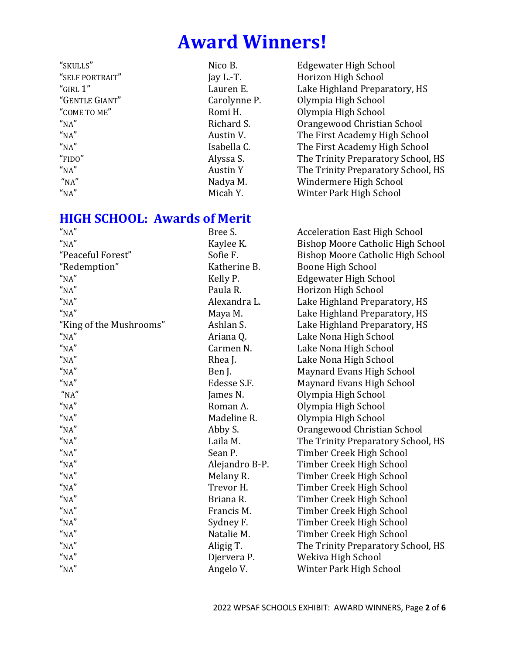"SKULLS" Nico B. Edgewater High School "SELF PORTRAIT" Jay L.-T. Horizon High School "GIRL 1" Lauren E. Lake Highland Preparatory, HS "GENTLE GIANT" Carolynne P. Olympia High School "COME TO ME" Romi H. COME TO ME" Romi H. "NA" Richard S. Christian School Christian School "NA" Austin V. The First Academy High School The First Academy High School "NA" Isabella C. The First Academy High School "FIDO" Alyssa S. The Trinity Preparatory School, HS "NA" **Austin Y** The Trinity Preparatory School, HS "NA" Nadya M. Windermere High School "NA" National Micah Y. Nich Winter Park High School

#### **HIGH SCHOOL: Awards of Merit**

| $^{\prime\prime}{\rm NA}^{\prime\prime}$ | Bree S.        | <b>Acceleration East High School</b>     |
|------------------------------------------|----------------|------------------------------------------|
| $^{\prime\prime}{\rm NA}^{\prime\prime}$ | Kaylee K.      | <b>Bishop Moore Catholic High School</b> |
| "Peaceful Forest"                        | Sofie F.       | Bishop Moore Catholic High School        |
| "Redemption"                             | Katherine B.   | <b>Boone High School</b>                 |
| "NA"                                     | Kelly P.       | <b>Edgewater High School</b>             |
| "NA"                                     | Paula R.       | Horizon High School                      |
| $^{\prime\prime}{\rm NA}^{\prime\prime}$ | Alexandra L.   | Lake Highland Preparatory, HS            |
| "NA"                                     | Maya M.        | Lake Highland Preparatory, HS            |
| "King of the Mushrooms"                  | Ashlan S.      | Lake Highland Preparatory, HS            |
| "NA"                                     | Ariana Q.      | Lake Nona High School                    |
| "NA"                                     | Carmen N.      | Lake Nona High School                    |
| "NA"                                     | Rhea J.        | Lake Nona High School                    |
| "NA"                                     | Ben J.         | Maynard Evans High School                |
| "NA"                                     | Edesse S.F.    | Maynard Evans High School                |
| "NA"                                     | James N.       | Olympia High School                      |
| "NA"                                     | Roman A.       | Olympia High School                      |
| "NA"                                     | Madeline R.    | Olympia High School                      |
| "NA"                                     | Abby S.        | Orangewood Christian School              |
| $^{\prime\prime}{\rm NA}^{\prime\prime}$ | Laila M.       | The Trinity Preparatory School, HS       |
| "NA"                                     | Sean P.        | Timber Creek High School                 |
| $^{\prime\prime}{\rm NA}^{\prime\prime}$ | Alejandro B-P. | Timber Creek High School                 |
| "NA"                                     | Melany R.      | Timber Creek High School                 |
| $^{\prime\prime}{\rm NA}^{\prime\prime}$ | Trevor H.      | Timber Creek High School                 |
| "NA"                                     | Briana R.      | Timber Creek High School                 |
| "NA"                                     | Francis M.     | Timber Creek High School                 |
| "NA"                                     | Sydney F.      | Timber Creek High School                 |
| "NA"                                     | Natalie M.     | Timber Creek High School                 |
| "NA"                                     | Aligig T.      | The Trinity Preparatory School, HS       |
| $^{\prime\prime}{\rm NA}^{\prime\prime}$ | Djervera P.    | Wekiva High School                       |
| $^{\prime\prime}{\rm NA}^{\prime\prime}$ | Angelo V.      | Winter Park High School                  |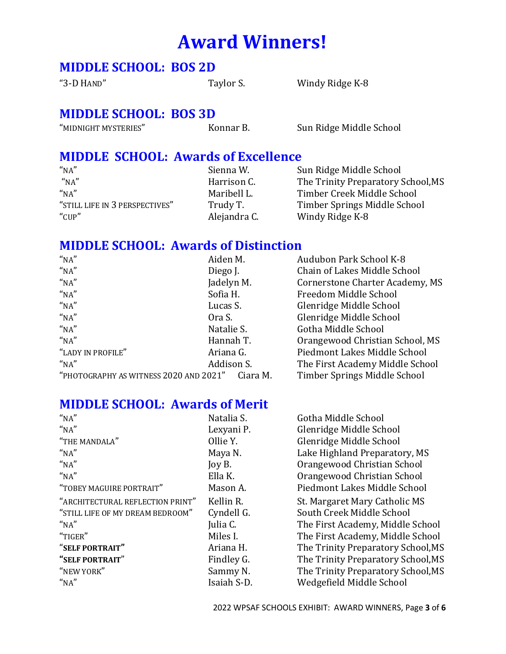#### **MIDDLE SCHOOL: BOS 2D**

"3-D HAND" Taylor S. Windy Ridge K-8

#### **MIDDLE SCHOOL: BOS 3D**

"MIDNIGHT MYSTERIES" Konnar B. Sun Ridge Middle School

#### **MIDDLE SCHOOL: Awards of Excellence**

| "NA"                           | Sienna W.    | Sun Ridge Middle School            |
|--------------------------------|--------------|------------------------------------|
| "NA"                           | Harrison C.  | The Trinity Preparatory School, MS |
| "NA"                           | Maribell L.  | Timber Creek Middle School         |
| "STILL LIFE IN 3 PERSPECTIVES" | Trudy T.     | Timber Springs Middle School       |
| " $CUP"$                       | Alejandra C. | Windy Ridge K-8                    |

#### **MIDDLE SCHOOL: Awards of Distinction**

| "NA"                                   | Aiden M.   |          | Audubon Park School K-8         |
|----------------------------------------|------------|----------|---------------------------------|
| "NA"                                   | Diego J.   |          | Chain of Lakes Middle School    |
| "NA"                                   | Jadelyn M. |          | Cornerstone Charter Academy, MS |
| "NA"                                   | Sofia H.   |          | Freedom Middle School           |
| "NA"                                   | Lucas S.   |          | Glenridge Middle School         |
| "NA"                                   | Ora S.     |          | Glenridge Middle School         |
| "NA"                                   | Natalie S. |          | Gotha Middle School             |
| "NA"                                   | Hannah T.  |          | Orangewood Christian School, MS |
| "LADY IN PROFILE"                      | Ariana G.  |          | Piedmont Lakes Middle School    |
| "NA"                                   | Addison S. |          | The First Academy Middle School |
| "PHOTOGRAPHY AS WITNESS 2020 AND 2021" |            | Ciara M. | Timber Springs Middle School    |

#### **MIDDLE SCHOOL: Awards of Merit**

| "NA"                             | Natalia S.  | Gotha Middle School                |
|----------------------------------|-------------|------------------------------------|
| "NA"                             | Lexyani P.  | Glenridge Middle School            |
| "THE MANDALA"                    | Ollie Y.    | Glenridge Middle School            |
| "NA"                             | Maya N.     | Lake Highland Preparatory, MS      |
| "NA"                             | Joy B.      | Orangewood Christian School        |
| "NA"                             | Ella K.     | Orangewood Christian School        |
| "TOBEY MAGUIRE PORTRAIT"         | Mason A.    | Piedmont Lakes Middle School       |
| "ARCHITECTURAL REFLECTION PRINT" | Kellin R.   | St. Margaret Mary Catholic MS      |
| "STILL LIFE OF MY DREAM BEDROOM" | Cyndell G.  | South Creek Middle School          |
| "NA"                             | Julia C.    | The First Academy, Middle School   |
| "TIGER"                          | Miles I.    | The First Academy, Middle School   |
| "SELF PORTRAIT"                  | Ariana H.   | The Trinity Preparatory School, MS |
| "SELF PORTRAIT"                  | Findley G.  | The Trinity Preparatory School, MS |
| "NEW YORK"                       | Sammy N.    | The Trinity Preparatory School, MS |
| "NA"                             | Isaiah S-D. | Wedgefield Middle School           |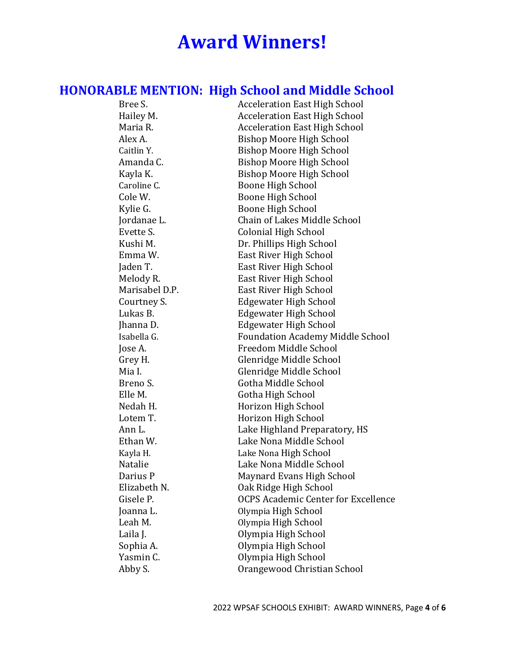### **HONORABLE MENTION: High School and Middle School**

| <u>INTERNIT ENGLISHMONT</u> | ▝▝▝                                        |
|-----------------------------|--------------------------------------------|
| Bree S.                     | <b>Acceleration East High School</b>       |
| Hailey M.                   | <b>Acceleration East High School</b>       |
| Maria R.                    | <b>Acceleration East High School</b>       |
| Alex A.                     | <b>Bishop Moore High School</b>            |
| Caitlin Y.                  | <b>Bishop Moore High School</b>            |
| Amanda C.                   | <b>Bishop Moore High School</b>            |
| Kayla K.                    | Bishop Moore High School                   |
| Caroline C.                 | Boone High School                          |
| Cole W.                     | Boone High School                          |
| Kylie G.                    | Boone High School                          |
| Jordanae L.                 | Chain of Lakes Middle School               |
| Evette S.                   | <b>Colonial High School</b>                |
| Kushi M.                    | Dr. Phillips High School                   |
| Emma W.                     | East River High School                     |
| Jaden T.                    | East River High School                     |
| Melody R.                   | East River High School                     |
| Marisabel D.P.              | East River High School                     |
| Courtney S.                 | <b>Edgewater High School</b>               |
| Lukas B.                    | <b>Edgewater High School</b>               |
| Jhanna D.                   | Edgewater High School                      |
| Isabella G.                 | <b>Foundation Academy Middle School</b>    |
| Jose A.                     | Freedom Middle School                      |
| Grey H.                     | Glenridge Middle School                    |
| Mia I.                      | Glenridge Middle School                    |
| Breno S.                    | Gotha Middle School                        |
| Elle M.                     | Gotha High School                          |
| Nedah H.                    | Horizon High School                        |
| Lotem T.                    | Horizon High School                        |
| Ann L.                      | Lake Highland Preparatory, HS              |
| Ethan W.                    | Lake Nona Middle School                    |
| Kayla H.                    | Lake Nona High School                      |
| Natalie                     | Lake Nona Middle School                    |
| Darius P                    | Maynard Evans High School                  |
| Elizabeth N.                | Oak Ridge High School                      |
| Gisele P.                   | <b>OCPS Academic Center for Excellence</b> |
| Joanna L.                   | Olympia High School                        |
| Leah M.                     | Olympia High School                        |
| Laila J.                    | Olympia High School                        |
| Sophia A.                   | Olympia High School                        |
| Yasmin C.                   | Olympia High School                        |
| Abby S.                     | Orangewood Christian School                |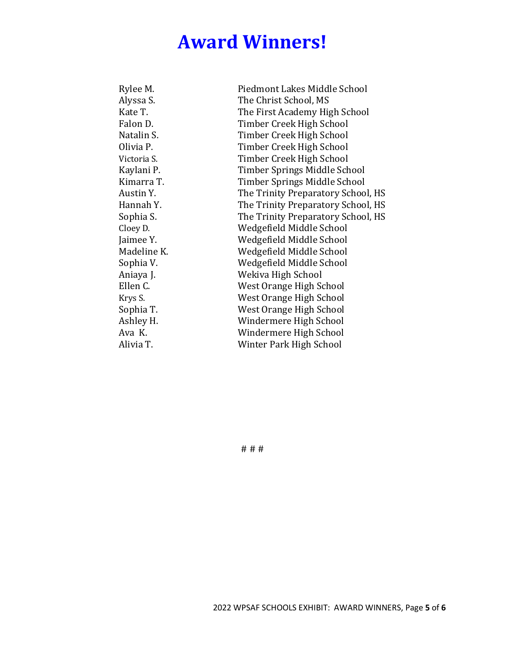| Rylee M.    | Piedmont Lakes Middle School       |
|-------------|------------------------------------|
| Alyssa S.   | The Christ School, MS              |
| Kate T.     | The First Academy High School      |
| Falon D.    | Timber Creek High School           |
| Natalin S.  | Timber Creek High School           |
| Olivia P.   | Timber Creek High School           |
| Victoria S. | Timber Creek High School           |
| Kaylani P.  | Timber Springs Middle School       |
| Kimarra T.  | Timber Springs Middle School       |
| Austin Y.   | The Trinity Preparatory School, HS |
| Hannah Y.   | The Trinity Preparatory School, HS |
| Sophia S.   | The Trinity Preparatory School, HS |
| Cloey D.    | Wedgefield Middle School           |
| Jaimee Y.   | Wedgefield Middle School           |
| Madeline K. | Wedgefield Middle School           |
| Sophia V.   | Wedgefield Middle School           |
| Aniaya J.   | Wekiva High School                 |
| Ellen C.    | West Orange High School            |
| Krys S.     | West Orange High School            |
| Sophia T.   | West Orange High School            |
| Ashley H.   | Windermere High School             |
| Ava K.      | Windermere High School             |
| Alivia T.   | Winter Park High School            |
|             |                                    |

# # #